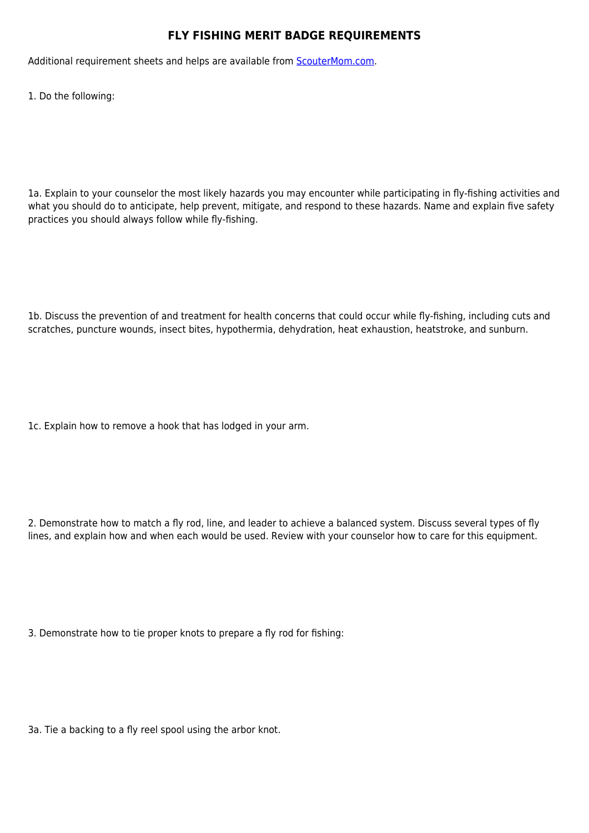## **FLY FISHING MERIT BADGE REQUIREMENTS**

Additional requirement sheets and helps are available from [ScouterMom.com](http://scoutermom.com).

1. Do the following:

1a. Explain to your counselor the most likely hazards you may encounter while participating in fly-fishing activities and what you should do to anticipate, help prevent, mitigate, and respond to these hazards. Name and explain five safety practices you should always follow while fly-fishing.

1b. Discuss the prevention of and treatment for health concerns that could occur while fly-fishing, including cuts and scratches, puncture wounds, insect bites, hypothermia, dehydration, heat exhaustion, heatstroke, and sunburn.

1c. Explain how to remove a hook that has lodged in your arm.

2. Demonstrate how to match a fly rod, line, and leader to achieve a balanced system. Discuss several types of fly lines, and explain how and when each would be used. Review with your counselor how to care for this equipment.

3. Demonstrate how to tie proper knots to prepare a fly rod for fishing:

3a. Tie a backing to a fly reel spool using the arbor knot.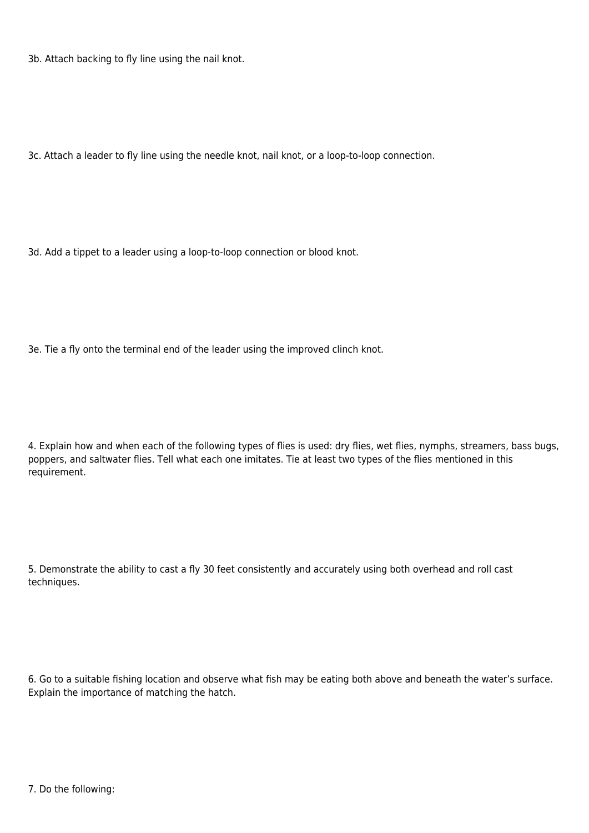3b. Attach backing to fly line using the nail knot.

3c. Attach a leader to fly line using the needle knot, nail knot, or a loop-to-loop connection.

3d. Add a tippet to a leader using a loop-to-loop connection or blood knot.

3e. Tie a fly onto the terminal end of the leader using the improved clinch knot.

4. Explain how and when each of the following types of flies is used: dry flies, wet flies, nymphs, streamers, bass bugs, poppers, and saltwater flies. Tell what each one imitates. Tie at least two types of the flies mentioned in this requirement.

5. Demonstrate the ability to cast a fly 30 feet consistently and accurately using both overhead and roll cast techniques.

6. Go to a suitable fishing location and observe what fish may be eating both above and beneath the water's surface. Explain the importance of matching the hatch.